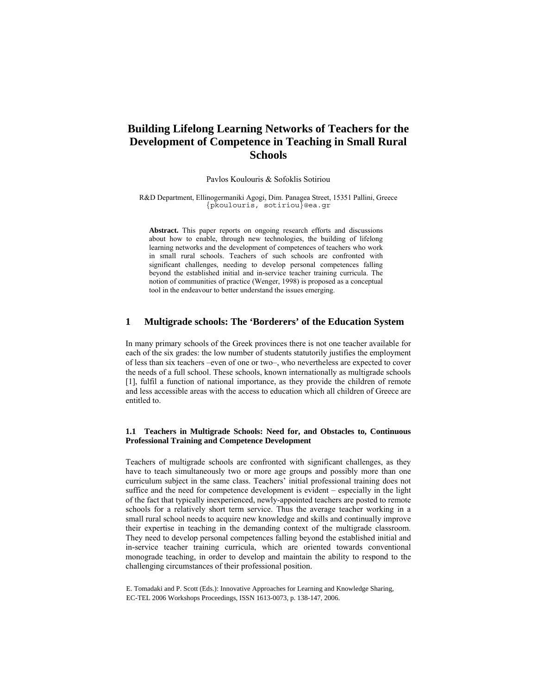# **Building Lifelong Learning Networks of Teachers for the Development of Competence in Teaching in Small Rural Schools**

### Pavlos Koulouris & Sofoklis Sotiriou

R&D Department, Ellinogermaniki Agogi, Dim. Panagea Street, 15351 Pallini, Greece {pkoulouris, sotiriou}@ea.gr

**Abstract.** This paper reports on ongoing research efforts and discussions about how to enable, through new technologies, the building of lifelong learning networks and the development of competences of teachers who work in small rural schools. Teachers of such schools are confronted with significant challenges, needing to develop personal competences falling beyond the established initial and in-service teacher training curricula. The notion of communities of practice (Wenger, 1998) is proposed as a conceptual tool in the endeavour to better understand the issues emerging.

### **1 Multigrade schools: The 'Borderers' of the Education System**

In many primary schools of the Greek provinces there is not one teacher available for each of the six grades: the low number of students statutorily justifies the employment of less than six teachers –even of one or two–, who nevertheless are expected to cover the needs of a full school. These schools, known internationally as multigrade schools [1], fulfil a function of national importance, as they provide the children of remote and less accessible areas with the access to education which all children of Greece are entitled to.

#### **1.1 Teachers in Multigrade Schools: Need for, and Obstacles to, Continuous Professional Training and Competence Development**

Teachers of multigrade schools are confronted with significant challenges, as they have to teach simultaneously two or more age groups and possibly more than one curriculum subject in the same class. Teachers' initial professional training does not suffice and the need for competence development is evident – especially in the light of the fact that typically inexperienced, newly-appointed teachers are posted to remote schools for a relatively short term service. Thus the average teacher working in a small rural school needs to acquire new knowledge and skills and continually improve their expertise in teaching in the demanding context of the multigrade classroom. They need to develop personal competences falling beyond the established initial and in-service teacher training curricula, which are oriented towards conventional monograde teaching, in order to develop and maintain the ability to respond to the challenging circumstances of their professional position.

E. Tomadaki and P. Scott (Eds.): Innovative Approaches for Learning and Knowledge Sharing, EC-TEL 2006 Workshops Proceedings, ISSN 1613-0073, p. 138-147, 2006.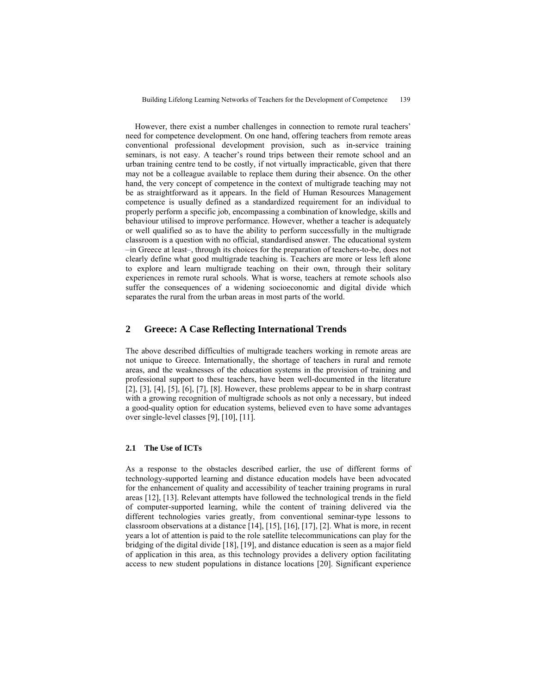However, there exist a number challenges in connection to remote rural teachers' need for competence development. On one hand, offering teachers from remote areas conventional professional development provision, such as in-service training seminars, is not easy. A teacher's round trips between their remote school and an urban training centre tend to be costly, if not virtually impracticable, given that there may not be a colleague available to replace them during their absence. On the other hand, the very concept of competence in the context of multigrade teaching may not be as straightforward as it appears. In the field of Human Resources Management competence is usually defined as a standardized requirement for an individual to properly perform a specific job, encompassing a combination of knowledge, skills and behaviour utilised to improve performance. However, whether a teacher is adequately or well qualified so as to have the ability to perform successfully in the multigrade classroom is a question with no official, standardised answer. The educational system –in Greece at least–, through its choices for the preparation of teachers-to-be, does not clearly define what good multigrade teaching is. Teachers are more or less left alone to explore and learn multigrade teaching on their own, through their solitary experiences in remote rural schools. What is worse, teachers at remote schools also suffer the consequences of a widening socioeconomic and digital divide which separates the rural from the urban areas in most parts of the world.

### **2 Greece: A Case Reflecting International Trends**

The above described difficulties of multigrade teachers working in remote areas are not unique to Greece. Internationally, the shortage of teachers in rural and remote areas, and the weaknesses of the education systems in the provision of training and professional support to these teachers, have been well-documented in the literature [2], [3], [4], [5], [6], [7], [8]. However, these problems appear to be in sharp contrast with a growing recognition of multigrade schools as not only a necessary, but indeed a good-quality option for education systems, believed even to have some advantages over single-level classes [9], [10], [11].

### **2.1 The Use of ICTs**

As a response to the obstacles described earlier, the use of different forms of technology-supported learning and distance education models have been advocated for the enhancement of quality and accessibility of teacher training programs in rural areas [12], [13]. Relevant attempts have followed the technological trends in the field of computer-supported learning, while the content of training delivered via the different technologies varies greatly, from conventional seminar-type lessons to classroom observations at a distance [14], [15], [16], [17], [2]. What is more, in recent years a lot of attention is paid to the role satellite telecommunications can play for the bridging of the digital divide [18], [19], and distance education is seen as a major field of application in this area, as this technology provides a delivery option facilitating access to new student populations in distance locations [20]. Significant experience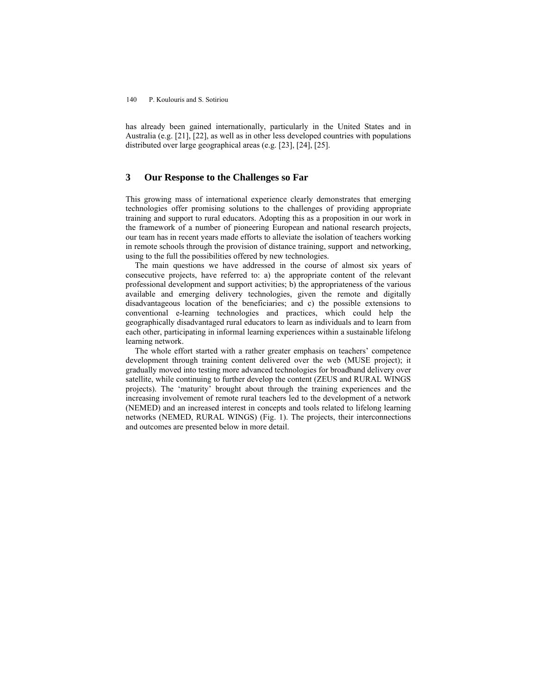has already been gained internationally, particularly in the United States and in Australia (e.g. [21], [22], as well as in other less developed countries with populations distributed over large geographical areas (e.g. [23], [24], [25].

### **3 Our Response to the Challenges so Far**

This growing mass of international experience clearly demonstrates that emerging technologies offer promising solutions to the challenges of providing appropriate training and support to rural educators. Adopting this as a proposition in our work in the framework of a number of pioneering European and national research projects, our team has in recent years made efforts to alleviate the isolation of teachers working in remote schools through the provision of distance training, support and networking, using to the full the possibilities offered by new technologies.

The main questions we have addressed in the course of almost six years of consecutive projects, have referred to: a) the appropriate content of the relevant professional development and support activities; b) the appropriateness of the various available and emerging delivery technologies, given the remote and digitally disadvantageous location of the beneficiaries; and c) the possible extensions to conventional e-learning technologies and practices, which could help the geographically disadvantaged rural educators to learn as individuals and to learn from each other, participating in informal learning experiences within a sustainable lifelong learning network.

The whole effort started with a rather greater emphasis on teachers' competence development through training content delivered over the web (MUSE project); it gradually moved into testing more advanced technologies for broadband delivery over satellite, while continuing to further develop the content (ZEUS and RURAL WINGS projects). The 'maturity' brought about through the training experiences and the increasing involvement of remote rural teachers led to the development of a network (NEMED) and an increased interest in concepts and tools related to lifelong learning networks (NEMED, RURAL WINGS) (Fig. 1). The projects, their interconnections and outcomes are presented below in more detail.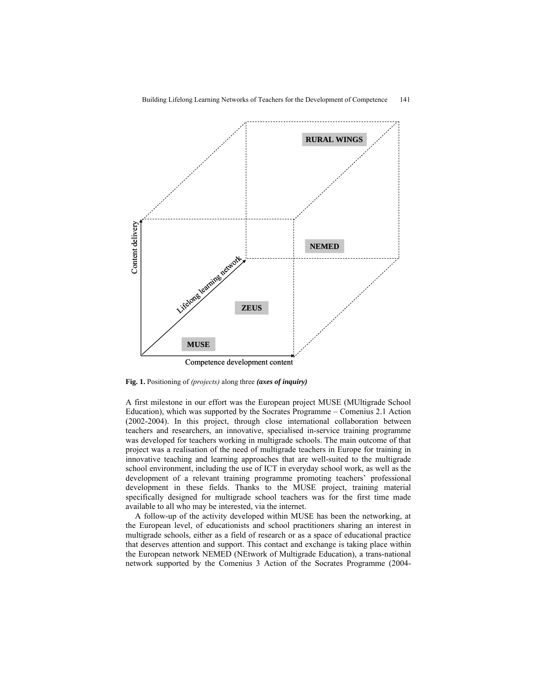

**Fig. 1.** Positioning of *(projects)* along three *(axes of inquiry)*

A first milestone in our effort was the European project MUSE (MUltigrade School Education), which was supported by the Socrates Programme – Comenius 2.1 Action (2002-2004). In this project, through close international collaboration between teachers and researchers, an innovative, specialised in-service training programme was developed for teachers working in multigrade schools. The main outcome of that project was a realisation of the need of multigrade teachers in Europe for training in innovative teaching and learning approaches that are well-suited to the multigrade school environment, including the use of ICT in everyday school work, as well as the development of a relevant training programme promoting teachers' professional development in these fields. Thanks to the MUSE project, training material specifically designed for multigrade school teachers was for the first time made available to all who may be interested, via the internet.

A follow-up of the activity developed within MUSE has been the networking, at the European level, of educationists and school practitioners sharing an interest in multigrade schools, either as a field of research or as a space of educational practice that deserves attention and support. This contact and exchange is taking place within the European network NEMED (NEtwork of Multigrade Education), a trans-national network supported by the Comenius 3 Action of the Socrates Programme (2004-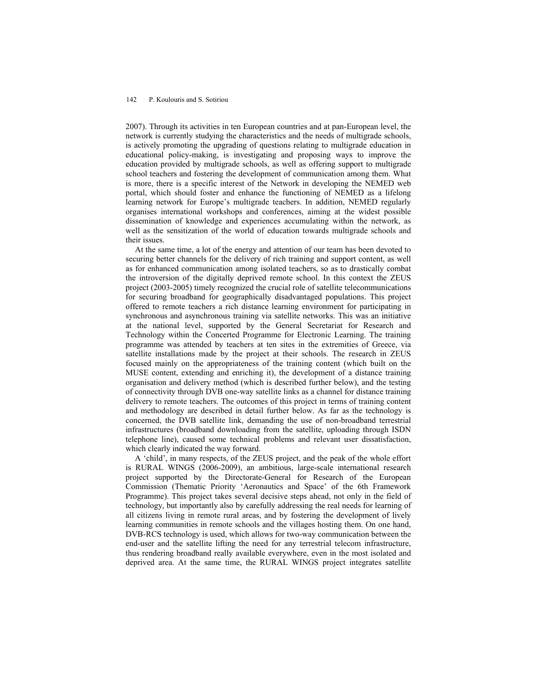2007). Through its activities in ten European countries and at pan-European level, the network is currently studying the characteristics and the needs of multigrade schools, is actively promoting the upgrading of questions relating to multigrade education in educational policy-making, is investigating and proposing ways to improve the education provided by multigrade schools, as well as offering support to multigrade school teachers and fostering the development of communication among them. What is more, there is a specific interest of the Network in developing the NEMED web portal, which should foster and enhance the functioning of NEMED as a lifelong learning network for Europe's multigrade teachers. In addition, NEMED regularly organises international workshops and conferences, aiming at the widest possible dissemination of knowledge and experiences accumulating within the network, as well as the sensitization of the world of education towards multigrade schools and their issues.

At the same time, a lot of the energy and attention of our team has been devoted to securing better channels for the delivery of rich training and support content, as well as for enhanced communication among isolated teachers, so as to drastically combat the introversion of the digitally deprived remote school. In this context the ZEUS project (2003-2005) timely recognized the crucial role of satellite telecommunications for securing broadband for geographically disadvantaged populations. This project offered to remote teachers a rich distance learning environment for participating in synchronous and asynchronous training via satellite networks. This was an initiative at the national level, supported by the General Secretariat for Research and Technology within the Concerted Programme for Electronic Learning. The training programme was attended by teachers at ten sites in the extremities of Greece, via satellite installations made by the project at their schools. The research in ZEUS focused mainly on the appropriateness of the training content (which built on the MUSE content, extending and enriching it), the development of a distance training organisation and delivery method (which is described further below), and the testing of connectivity through DVB one-way satellite links as a channel for distance training delivery to remote teachers. The outcomes of this project in terms of training content and methodology are described in detail further below. As far as the technology is concerned, the DVB satellite link, demanding the use of non-broadband terrestrial infrastructures (broadband downloading from the satellite, uploading through ISDN telephone line), caused some technical problems and relevant user dissatisfaction, which clearly indicated the way forward.

A 'child', in many respects, of the ZEUS project, and the peak of the whole effort is RURAL WINGS (2006-2009), an ambitious, large-scale international research project supported by the Directorate-General for Research of the European Commission (Thematic Priority 'Aeronautics and Space' of the 6th Framework Programme). This project takes several decisive steps ahead, not only in the field of technology, but importantly also by carefully addressing the real needs for learning of all citizens living in remote rural areas, and by fostering the development of lively learning communities in remote schools and the villages hosting them. On one hand, DVB-RCS technology is used, which allows for two-way communication between the end-user and the satellite lifting the need for any terrestrial telecom infrastructure, thus rendering broadband really available everywhere, even in the most isolated and deprived area. At the same time, the RURAL WINGS project integrates satellite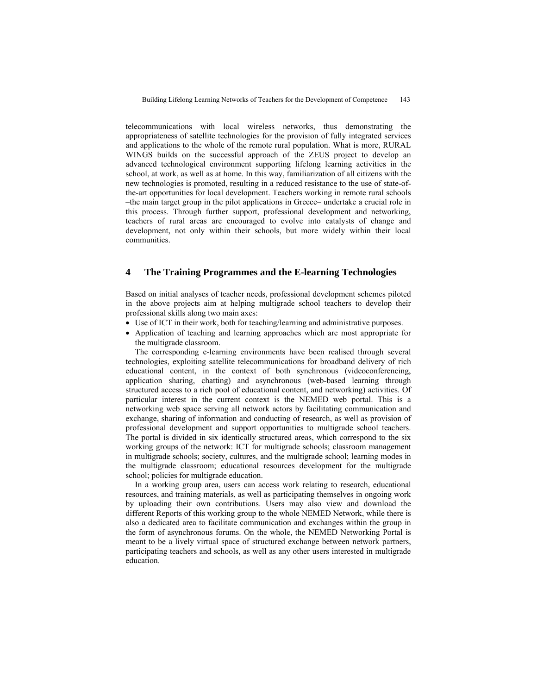telecommunications with local wireless networks, thus demonstrating the appropriateness of satellite technologies for the provision of fully integrated services and applications to the whole of the remote rural population. What is more, RURAL WINGS builds on the successful approach of the ZEUS project to develop an advanced technological environment supporting lifelong learning activities in the school, at work, as well as at home. In this way, familiarization of all citizens with the new technologies is promoted, resulting in a reduced resistance to the use of state-ofthe-art opportunities for local development. Teachers working in remote rural schools –the main target group in the pilot applications in Greece– undertake a crucial role in this process. Through further support, professional development and networking, teachers of rural areas are encouraged to evolve into catalysts of change and development, not only within their schools, but more widely within their local communities.

### **4 The Training Programmes and the E-learning Technologies**

Based on initial analyses of teacher needs, professional development schemes piloted in the above projects aim at helping multigrade school teachers to develop their professional skills along two main axes:

- Use of ICT in their work, both for teaching/learning and administrative purposes.
- Application of teaching and learning approaches which are most appropriate for the multigrade classroom.

The corresponding e-learning environments have been realised through several technologies, exploiting satellite telecommunications for broadband delivery of rich educational content, in the context of both synchronous (videoconferencing, application sharing, chatting) and asynchronous (web-based learning through structured access to a rich pool of educational content, and networking) activities. Of particular interest in the current context is the NEMED web portal. This is a networking web space serving all network actors by facilitating communication and exchange, sharing of information and conducting of research, as well as provision of professional development and support opportunities to multigrade school teachers. The portal is divided in six identically structured areas, which correspond to the six working groups of the network: ICT for multigrade schools; classroom management in multigrade schools; society, cultures, and the multigrade school; learning modes in the multigrade classroom; educational resources development for the multigrade school; policies for multigrade education.

In a working group area, users can access work relating to research, educational resources, and training materials, as well as participating themselves in ongoing work by uploading their own contributions. Users may also view and download the different Reports of this working group to the whole NEMED Network, while there is also a dedicated area to facilitate communication and exchanges within the group in the form of asynchronous forums. On the whole, the NEMED Networking Portal is meant to be a lively virtual space of structured exchange between network partners, participating teachers and schools, as well as any other users interested in multigrade education.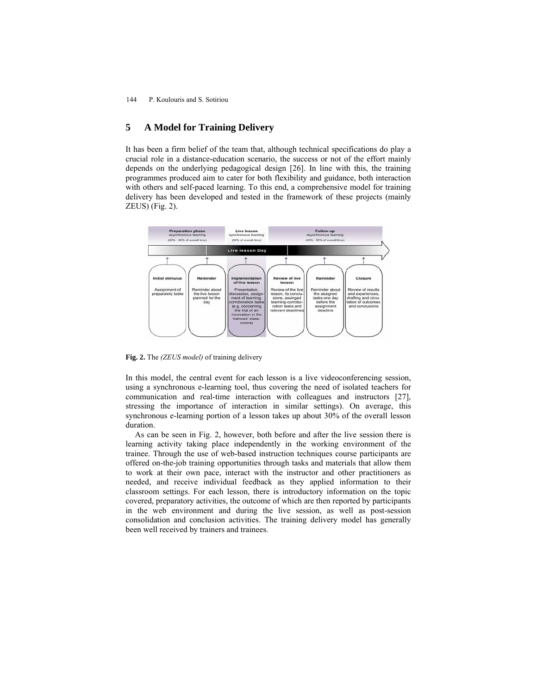# **5 A Model for Training Delivery**

It has been a firm belief of the team that, although technical specifications do play a crucial role in a distance-education scenario, the success or not of the effort mainly depends on the underlying pedagogical design [26]. In line with this, the training programmes produced aim to cater for both flexibility and guidance, both interaction with others and self-paced learning. To this end, a comprehensive model for training delivery has been developed and tested in the framework of these projects (mainly ZEUS) (Fig. 2).



**Fig. 2.** The *(ZEUS model)* of training delivery

In this model, the central event for each lesson is a live videoconferencing session, using a synchronous e-learning tool, thus covering the need of isolated teachers for communication and real-time interaction with colleagues and instructors [27], stressing the importance of interaction in similar settings). On average, this synchronous e-learning portion of a lesson takes up about 30% of the overall lesson duration.

As can be seen in Fig. 2, however, both before and after the live session there is learning activity taking place independently in the working environment of the trainee. Through the use of web-based instruction techniques course participants are offered on-the-job training opportunities through tasks and materials that allow them to work at their own pace, interact with the instructor and other practitioners as needed, and receive individual feedback as they applied information to their classroom settings. For each lesson, there is introductory information on the topic covered, preparatory activities, the outcome of which are then reported by participants in the web environment and during the live session, as well as post-session consolidation and conclusion activities. The training delivery model has generally been well received by trainers and trainees.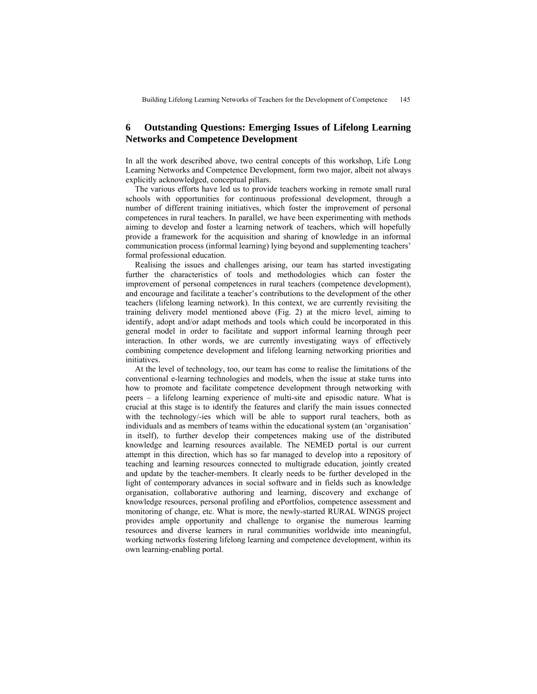## **6 Outstanding Questions: Emerging Issues of Lifelong Learning Networks and Competence Development**

In all the work described above, two central concepts of this workshop, Life Long Learning Networks and Competence Development, form two major, albeit not always explicitly acknowledged, conceptual pillars.

The various efforts have led us to provide teachers working in remote small rural schools with opportunities for continuous professional development, through a number of different training initiatives, which foster the improvement of personal competences in rural teachers. In parallel, we have been experimenting with methods aiming to develop and foster a learning network of teachers, which will hopefully provide a framework for the acquisition and sharing of knowledge in an informal communication process (informal learning) lying beyond and supplementing teachers' formal professional education.

Realising the issues and challenges arising, our team has started investigating further the characteristics of tools and methodologies which can foster the improvement of personal competences in rural teachers (competence development), and encourage and facilitate a teacher's contributions to the development of the other teachers (lifelong learning network). In this context, we are currently revisiting the training delivery model mentioned above (Fig. 2) at the micro level, aiming to identify, adopt and/or adapt methods and tools which could be incorporated in this general model in order to facilitate and support informal learning through peer interaction. In other words, we are currently investigating ways of effectively combining competence development and lifelong learning networking priorities and initiatives.

At the level of technology, too, our team has come to realise the limitations of the conventional e-learning technologies and models, when the issue at stake turns into how to promote and facilitate competence development through networking with peers – a lifelong learning experience of multi-site and episodic nature. What is crucial at this stage is to identify the features and clarify the main issues connected with the technology/-ies which will be able to support rural teachers, both as individuals and as members of teams within the educational system (an 'organisation' in itself), to further develop their competences making use of the distributed knowledge and learning resources available. The NEMED portal is our current attempt in this direction, which has so far managed to develop into a repository of teaching and learning resources connected to multigrade education, jointly created and update by the teacher-members. It clearly needs to be further developed in the light of contemporary advances in social software and in fields such as knowledge organisation, collaborative authoring and learning, discovery and exchange of knowledge resources, personal profiling and ePortfolios, competence assessment and monitoring of change, etc. What is more, the newly-started RURAL WINGS project provides ample opportunity and challenge to organise the numerous learning resources and diverse learners in rural communities worldwide into meaningful, working networks fostering lifelong learning and competence development, within its own learning-enabling portal.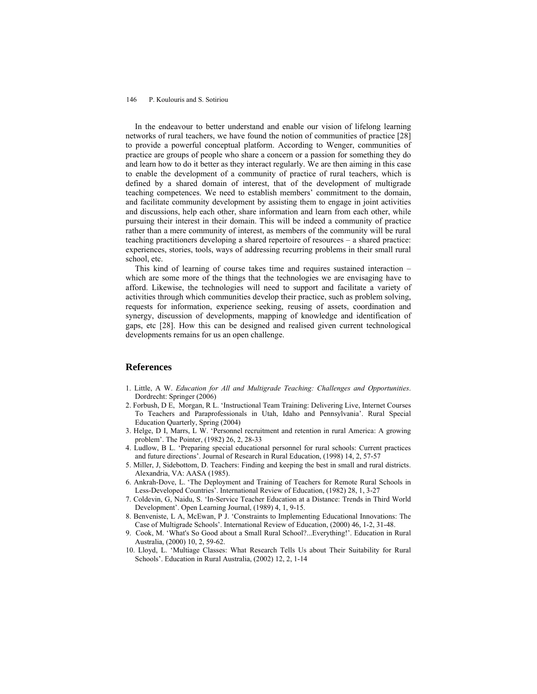In the endeavour to better understand and enable our vision of lifelong learning networks of rural teachers, we have found the notion of communities of practice [28] to provide a powerful conceptual platform. According to Wenger, communities of practice are groups of people who share a concern or a passion for something they do and learn how to do it better as they interact regularly. We are then aiming in this case to enable the development of a community of practice of rural teachers, which is defined by a shared domain of interest, that of the development of multigrade teaching competences. We need to establish members' commitment to the domain, and facilitate community development by assisting them to engage in joint activities and discussions, help each other, share information and learn from each other, while pursuing their interest in their domain. This will be indeed a community of practice rather than a mere community of interest, as members of the community will be rural teaching practitioners developing a shared repertoire of resources – a shared practice: experiences, stories, tools, ways of addressing recurring problems in their small rural school, etc.

This kind of learning of course takes time and requires sustained interaction – which are some more of the things that the technologies we are envisaging have to afford. Likewise, the technologies will need to support and facilitate a variety of activities through which communities develop their practice, such as problem solving, requests for information, experience seeking, reusing of assets, coordination and synergy, discussion of developments, mapping of knowledge and identification of gaps, etc [28]. How this can be designed and realised given current technological developments remains for us an open challenge.

#### **References**

- 1. Little, A W. *Education for All and Multigrade Teaching: Challenges and Opportunities*. Dordrecht: Springer (2006)
- 2. Forbush, D E, Morgan, R L. 'Instructional Team Training: Delivering Live, Internet Courses To Teachers and Paraprofessionals in Utah, Idaho and Pennsylvania'. Rural Special Education Quarterly, Spring (2004)
- 3. Helge, D I, Marrs, L W. 'Personnel recruitment and retention in rural America: A growing problem'. The Pointer, (1982) 26, 2, 28-33
- 4. Ludlow, B L. 'Preparing special educational personnel for rural schools: Current practices and future directions'. Journal of Research in Rural Education, (1998) 14, 2, 57-57
- 5. Miller, J, Sidebottom, D. Teachers: Finding and keeping the best in small and rural districts. Alexandria, VA: AASA (1985).
- 6. Ankrah-Dove, L. 'The Deployment and Training of Teachers for Remote Rural Schools in Less-Developed Countries'. International Review of Education, (1982) 28, 1, 3-27
- 7. Coldevin, G, Naidu, S. 'In-Service Teacher Education at a Distance: Trends in Third World Development'. Open Learning Journal, (1989) 4, 1, 9-15.
- 8. Benveniste, L A, McEwan, P J. 'Constraints to Implementing Educational Innovations: The Case of Multigrade Schools'. International Review of Education, (2000) 46, 1-2, 31-48.
- 9. Cook, M. 'What's So Good about a Small Rural School?...Everything!'. Education in Rural Australia, (2000) 10, 2, 59-62.
- 10. Lloyd, L. 'Multiage Classes: What Research Tells Us about Their Suitability for Rural Schools'. Education in Rural Australia, (2002) 12, 2, 1-14